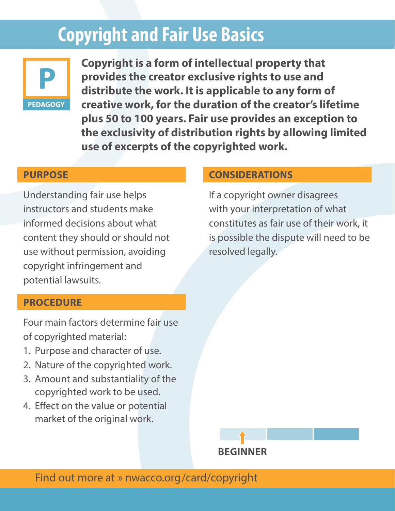# **Copyright and Fair Use Basics**



**Copyright is a form of intellectual property that provides the creator exclusive rights to use and distribute the work. It is applicable to any form of creative work, for the duration of the creator's lifetime plus 50 to 100 years. Fair use provides an exception to the exclusivity of distribution rights by allowing limited use of excerpts of the copyrighted work.**

#### **PURPOSE**

Understanding fair use helps instructors and students make informed decisions about what content they should or should not use without permission, avoiding copyright infringement and potential lawsuits.

## **PROCEDURE**

Four main factors determine fair use of copyrighted material:

- 1. Purpose and character of use.
- 2. Nature of the copyrighted work.
- 3. Amount and substantiality of the copyrighted work to be used.
- 4. Effect on the value or potential market of the original work.

#### **CONSIDERATIONS**

If a copyright owner disagrees with your interpretation of what constitutes as fair use of their work, it is possible the dispute will need to be resolved legally.

**BEGINNER**

Find out more at » nwacco.org/card/copyright